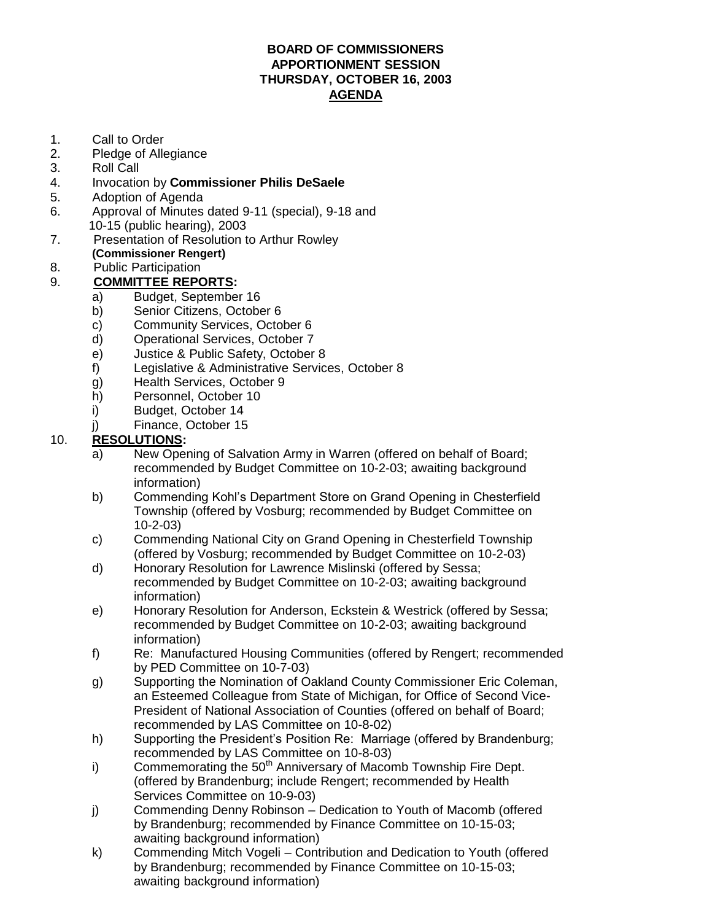#### **[BOARD OF COMMISSIONERS](http://pdf.iteksoft.com/modules.php?op=modload&name=Sections&file=index&req=viewarticle&artid=4) APPORTIONMENT SESSION THURSDAY, OCTOBER 16, 2003 AGENDA**

- 1. Call to Order
- 2. Pledge of Allegiance
- 3. Roll Call
- 4. Invocation by **Commissioner Philis DeSaele**
- 5. Adoption of Agenda
- 6. Approval of Minutes dated 9-11 (special), 9-18 and 10-15 (public hearing), 2003
- 7. Presentation of Resolution to Arthur Rowley **(Commissioner Rengert)**
- 8. Public Participation

### 9. **COMMITTEE REPORTS:**

- a) Budget, September 16
	- b) Senior Citizens, October 6
	- c) Community Services, October 6
	- d) Operational Services, October 7
	- e) Justice & Public Safety, October 8
	- f) Legislative & Administrative Services, October 8
	- g) Health Services, October 9
	- h) Personnel, October 10
	- i) Budget, October 14
	- j) Finance, October 15

### 10. **RESOLUTIONS:**

- a) New Opening of Salvation Army in Warren (offered on behalf of Board; recommended by Budget Committee on 10-2-03; awaiting background information)
- b) Commending Kohl's Department Store on Grand Opening in Chesterfield Township (offered by Vosburg; recommended by Budget Committee on 10-2-03)
- c) Commending National City on Grand Opening in Chesterfield Township (offered by Vosburg; recommended by Budget Committee on 10-2-03)
- d) Honorary Resolution for Lawrence Mislinski (offered by Sessa; recommended by Budget Committee on 10-2-03; awaiting background information)
- e) Honorary Resolution for Anderson, Eckstein & Westrick (offered by Sessa; recommended by Budget Committee on 10-2-03; awaiting background information)
- f) Re: Manufactured Housing Communities (offered by Rengert; recommended by PED Committee on 10-7-03)
- g) Supporting the Nomination of Oakland County Commissioner Eric Coleman, an Esteemed Colleague from State of Michigan, for Office of Second Vice-President of National Association of Counties (offered on behalf of Board; recommended by LAS Committee on 10-8-02)
- h) Supporting the President's Position Re: Marriage (offered by Brandenburg; recommended by LAS Committee on 10-8-03)
- i) Commemorating the  $50<sup>th</sup>$  Anniversary of Macomb Township Fire Dept. (offered by Brandenburg; include Rengert; recommended by Health Services Committee on 10-9-03)
- j) Commending Denny Robinson Dedication to Youth of Macomb (offered by Brandenburg; recommended by Finance Committee on 10-15-03; awaiting background information)
- k) Commending Mitch Vogeli Contribution and Dedication to Youth (offered [by Brandenburg; recommended by Finance Committee on 10-15-03;](http://www.iteksoft.com/modules.php?op=modload&name=Sections&file=index&req=viewarticle&artid=4) awaiting background information)